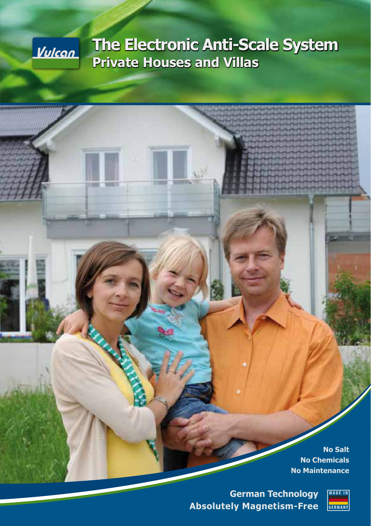# <u>Vulcan</u>

**RANGE** 

# **The Electronic Anti-Scale System Private Houses and Villas**

**No Salt No Chemicals No Maintenance**

**German Technology Absolutely Magnetism-Free**

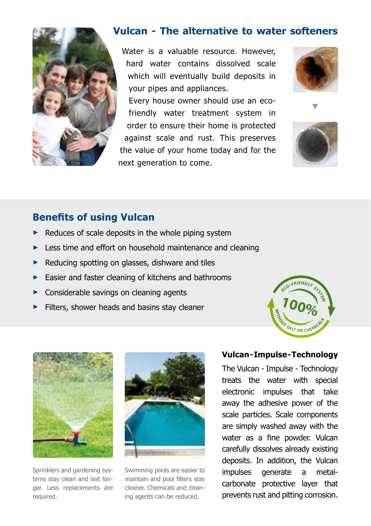

# **Vulcan - The alternative to water softeners**

Water is a valuable resource. However, hard water contains dissolved scale which will eventually build deposits in your pipes and appliances.

Every house owner should use an ecofriendly water treatment system in order to ensure their home is protected against scale and rust. This preserves the value of your home today and for the next generation to come.



**►**



# **Benefits of using Vulcan**

- Reduces of scale deposits in the whole piping system
- Less time and effort on household maintenance and cleaning
- **►** Reducing spotting on glasses, dishware and tiles
- **►** Easier and faster cleaning of kitchens and bathrooms
- **►** Considerable savings on cleaning agents
- **►** Filters, shower heads and basins stay cleaner





Sprinklers and gardening systems stay clean and last longer. Less replacements are required.



Swimming pools are easier to maintain and pool filters stay cleaner. Chemicals and cleaning agents can be reduced.

### **Vulcan - Impulse - Technology**

The Vulcan - Impulse - Technology treats the water with special electronic impulses that take away the adhesive power of the scale particles. Scale components are simply washed away with the water as a fine powder. Vulcan carefully dissolves already existing deposits. In addition, the Vulcan impulses generate a metalcarbonate protective layer that prevents rust and pitting corrosion.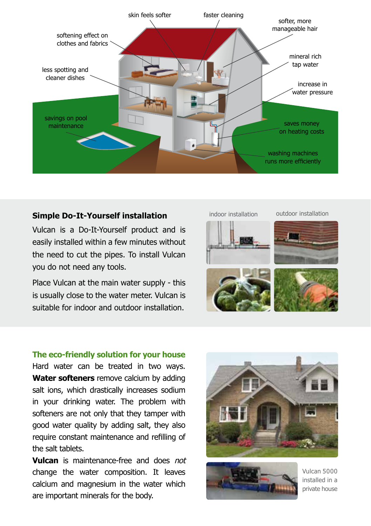

### **Simple Do-It-Yourself installation**

Vulcan is a Do-It-Yourself product and is easily installed within a few minutes without the need to cut the pipes. To install Vulcan you do not need any tools.

Place Vulcan at the main water supply - this is usually close to the water meter. Vulcan is suitable for indoor and outdoor installation.



#### **The eco-friendly solution for your house**

Hard water can be treated in two ways. **Water softeners** remove calcium by adding salt ions, which drastically increases sodium in your drinking water. The problem with softeners are not only that they tamper with good water quality by adding salt, they also require constant maintenance and refilling of the salt tablets.

**Vulcan** is maintenance-free and does not change the water composition. It leaves calcium and magnesium in the water which are important minerals for the body.





Vulcan 5000 installed in a private house